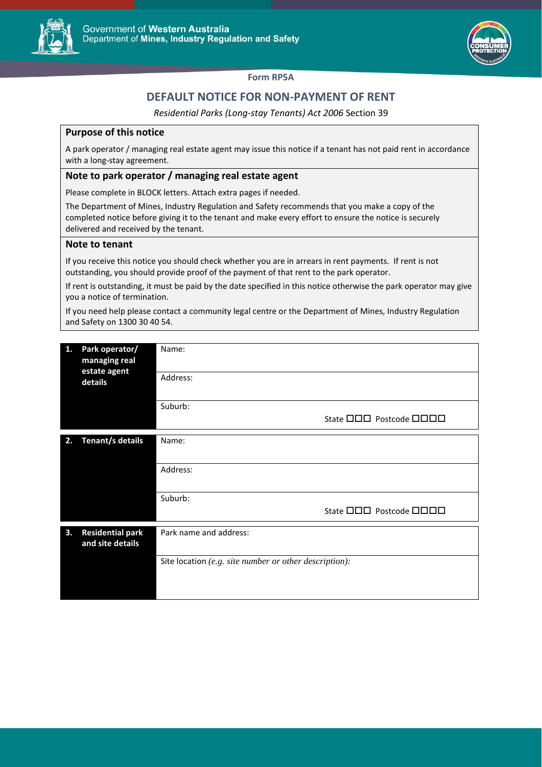



### **Form RP5A**

# **DEFAULT NOTICE FOR NON-PAYMENT OF RENT**

*Residential Parks (Long-stay Tenants) Act 2006* Section 39

## **Purpose of this notice**

A park operator / managing real estate agent may issue this notice if a tenant has not paid rent in accordance with a long-stay agreement.

## **Note to park operator / managing real estate agent**

Please complete in BLOCK letters. Attach extra pages if needed.

The Department of Mines, Industry Regulation and Safety recommends that you make a copy of the completed notice before giving it to the tenant and make every effort to ensure the notice is securely delivered and received by the tenant.

### **Note to tenant**

If you receive this notice you should check whether you are in arrears in rent payments. If rent is not outstanding, you should provide proof of the payment of that rent to the park operator.

If rent is outstanding, it must be paid by the date specified in this notice otherwise the park operator may give you a notice of termination.

If you need help please contact a community legal centre or the Department of Mines, Industry Regulation and Safety on 1300 30 40 54.

| 1. | Park operator/<br>managing real<br>estate agent<br>details | Name:                                                  |
|----|------------------------------------------------------------|--------------------------------------------------------|
|    |                                                            | Address:                                               |
|    |                                                            | Suburb:                                                |
|    |                                                            | State <b>OOO</b> Postcode <b>OOOO</b>                  |
| 2. | Tenant/s details                                           | Name:                                                  |
|    |                                                            |                                                        |
|    |                                                            | Address:                                               |
|    |                                                            |                                                        |
|    |                                                            | Suburb:                                                |
|    |                                                            | State <b>OOO</b> Postcode <b>OOOO</b>                  |
| 3. | <b>Residential park</b><br>and site details                | Park name and address:                                 |
|    |                                                            | Site location (e.g. site number or other description): |
|    |                                                            |                                                        |
|    |                                                            |                                                        |